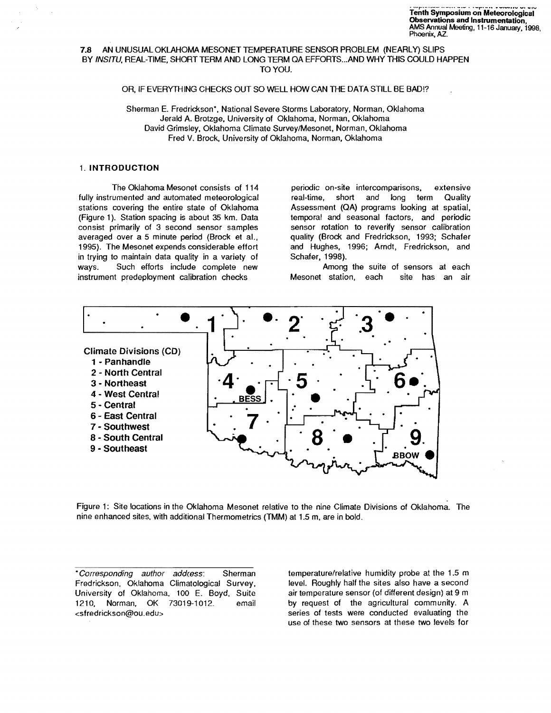## 7.8 AN UNUSUAL OKLAHOMA MESONET TEMPERATURE SENSOR PROBLEM (NEARLY) SUPS BY INSITV, REAL-TIME, SHORT TERM AND LONG TERM QA EFFORTS...AND WHY THIS COULD HAPPEN TO YOU.

# OR, IF EVERYTHING CHECKS OUT SO WELL HOW CAN THE DATA STILL BE BAD!?

Sherman E. Fredrickson', National Severe Storms Laboratory, Norman, Oklahoma Jerald A. Brotzge, University of Oklahoma, Norman, Oklahoma David Grimsley, Oklahoma Climate SurveyIMesonet, Norman, Oklahoma Fred V. Brock, University of Oklahoma, Norman, Oklahoma

## 1. INTRODUCTION

fully instrumented and automated meteorological real-time, short and long term Quality stations covering the entire state of Oklahoma Assessment (QA) programs looking at spatial, (Figure 1). Station spacing is about 35 km. Data temporal and seasonal factors, and periodic consist primarily of 3 second sensor samples sensor rotation to reverify sensor calibration averaged over a 5 minute period (Brock et aI., quality (Brock and Fredrickson, 1993; Schafer 1995). The Mesonet expends considerable effort and Hughes, 1996; Arndt, Fredrickson, and in trying to maintain data quality in a variety of Schafer, 1998). ways. Such efforts include complete new **Among the suite of sensors at each** instrument predeployment calibration checks Mesonet station, each site has an air

The Oklahoma Mesonet consists of 114 periodic on-site intercomparisons, extensive



Figure 1: Site locations in the Oklahoma Mesonet relative to the nine Climate Divisions of Oklahoma. The nine enhanced sites, with additional Thermometries (TMM) at 1.5 m, are in bold.

•Corresponding author add(ess: Sherman Fredrickson. Oklahoma Climatological Survey, University of Oklahoma, 100 E. Boyd, Suite 1210, Norman, OK 73019-1012. email <sfredrickson@ou.edu>

temperature/relative humidity probe at the 1.5 m level. Roughly half the sites also have a second air temperature sensor (of different design) at 9 m by request of the agricultural community. A series of tests were conducted evaluating the use of these two sensors at these two levels for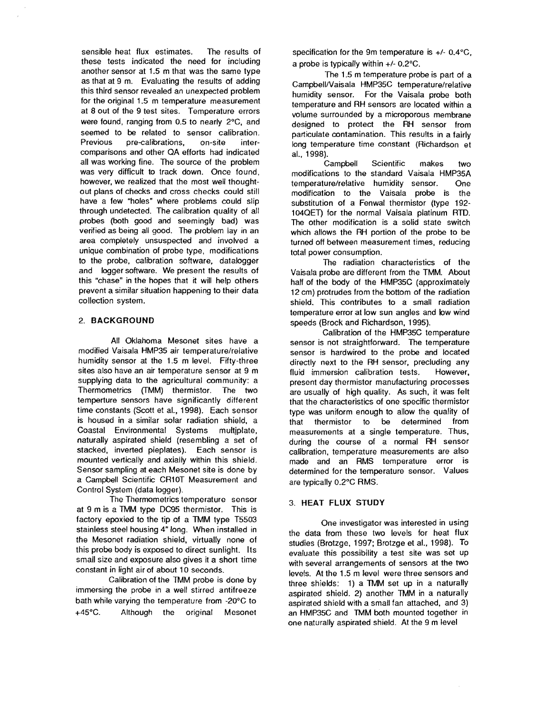sensible heat flux estimates. The results of these tests indicated the need for including another sensor at 1.5 m that was the same type as that at 9 m. Evaluating the results of adding this third sensor revealed an unexpected problem for the original 1.5 m temperature measurement at 8 out of the 9 test sites. Temperature errors were found, ranging from 0.5 to nearly 2°C, and seemed to be related to sensor calibration. Previous pre-calibrations, on-site intercomparisons and other OA efforts had indicated all was working fine. The source of the problem was very difficult to track down. Once found, however, we realized that the most well thoughtout plans of checks and cross checks could still have a few "holes" where problems could slip through undetected. The calibration quality of all probes (both good and seemingly bad) was verified as being all good. The problem lay in an area completely unsuspected and involved a unique combination of probe type, modifications to the probe, calibration software, datalogger and logger software. We present the results of this "chase" in the hopes that it will help others prevent a similar situation happening to their data collection system.

# 2. BACKGROUND

All Oklahoma Mesonet sites have a modified Vaisala HMP35 air temperature/relative humidity sensor at the 1.5 m level. Fifty-three sites also have an air temperature sensor at 9 m supplying data to the agricultural community: a Thermometries (TMM) thermistor. The two temperture sensors have significantly different time constants (Scott et aI., 1998). Each sensor is housed in a similar solar radiation shield, a Coastal Environmental Systems multjplate, naturally aspirated shield (resembling a set of stacked, inverted pieplates). Each sensor is mounted vertically and axially within this shield. Sensor sampling at each Mesonet site is done by a Campbell Scientific CR10T Measurement and Control System (data logger).

The Thermometrics temperature sensor at 9 m is a TMM type DC95 thermistor. This is factory epoxied to the tip of a TMM type T5503 stainless steel housing 4" long. When installed in the Mesonet radiation shield, virtually none of this probe body is exposed to direct sunlight. Its small size and exposure also gives it a short time constant in light air of about 10 seconds.

Calibration of the TMM probe is done by immersing the probe in a well stirred antifreeze bath while varying the temperature from -20°C to +45°C. Although the original Mesonet specification for the 9m temperature is  $+/- 0.4$ °C, a probe is typically within +/- 0.2°C.

The 1.5 m temperature probe is part of a Campbell/Vaisala HMP35C temperature/relative humidity sensor. For the Vaisala probe both temperature and RH sensors are located within a volume surrounded by a microporous membrane designed to protect the RH sensor from particulate contamination. This results in a fairly long temperature time constant (Richardson et aI., 1998).

Campbell Scientific makes two modifications to the standard Vaisala HMP35A temperature/relative humidity sensor. One modification to the Vaisala probe is the substitution of a Fenwal thermistor (type 192-104QET) for the normal Vaisala platinum RTD. The other modification is a solid state switch which allows the RH portion of the probe to be turned off between measurement times, reducing total power consumption.

The radiation characteristics of the Vaisala probe are different from the TMM. About half of the body of the HMP35C (approximately 12 cm) protrudes from the bottom of the radiation shield. This contributes to a small radiation temperature error at low sun angles and low wind speeds (Brock and Richardson, 1995).

Calibration of the HMP35C temperature sensor is not straightforward. The temperature sensor is hardwired to the probe and located directly next to the RH sensor, precluding any fluid immersion calibration tests. However, present day thermistor manufacturing processes are usually of high quality. As such, it was felt that the characteristics of one specific thermistor type was uniform enough to allow the quality of that thermistor to be determined from measurements at a single temperature. Thus, during the course of a normal RH sensor calibration, temperature measurements are also made and an RMS temperature error is determined for the temperature sensor. Values are typically 0.2°C RMS.

### 3. HEAT FLUX STUDY

One investigator was interested in using the data from these two levels for heat flux studies (Brotzge, 1997; Brotzge et al., 1998). To evaluate this possibility a test site was set up with several arrangements of sensors at the two levels. At the 1.5 m level were three sensors and three shields: 1) a TMM set up in a naturally aspirated shield. 2) another TMM in a naturally aspirated shield with a small fan attached, and 3) an HMP35C and TMM both mounted together in one naturally aspirated shield. At the 9 m level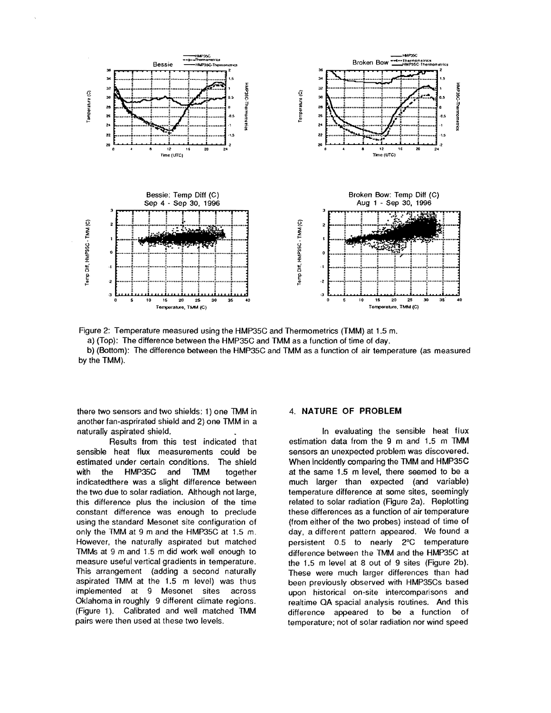

Figure 2: Temperature measured using the HMP35C and Thermometrics (TMM) at 1.5 m.

a) (Top): The difference between the HMP35C and TMM as a function of time of day.

b) (Bottom): The difference between the HMP35C and TMM as a function of air temperature (as measured by the TMM).

there two sensors and two shields: 1) one TMM in another fan-asprirated shield and 2) one TMM in a naturally aspirated shield.

Results from this test indicated that sensible heat flux measurements could be estimated under certain conditions. The shield HMP35C and with the **TMM** together indicatedthere was a slight difference between the two due to solar radiation. Although not large, this difference plus the inclusion of the time constant difference was enough to preclude using the standard Mesonet site configuration of only the TMM at 9 m and the HMP35C at 1.5 m. However, the naturally aspirated but matched TMMs at 9 m and 1.5 m did work well enough to measure useful vertical gradients in temperature. This arrangement (adding a second naturally aspirated TMM at the 1.5 m level) was thus implemented at 9 Mesonet sites across Oklahoma in roughly 9 different climate regions. (Figure 1). Calibrated and well matched TMM pairs were then used at these two levels.

## 4. NATURE OF PROBLEM

In evaluating the sensible heat flux estimation data from the 9 m and 1.5 m TMM sensors an unexpected problem was discovered. When incidently comparing the TMM and HMP35C at the same 1.5 m level, there seemed to be a much larger than expected (and variable) temperature difference at some sites, seemingly related to solar radiation (Figure 2a). Replotting these differences as a function of air temperature (from either of the two probes) instead of time of day, a different pattern appeared. We found a persistent 0.5 to nearly 2°C temperature difference between the TMM and the HMP35C at the 1.5 m level at 8 out of 9 sites (Figure 2b). These were much larger differences than had been previously observed with HMP35Cs based upon historical on-site intercomparisons and realtime QA spacial analysis routines. And this difference appeared to be a function of temperature; not of solar radiation nor wind speed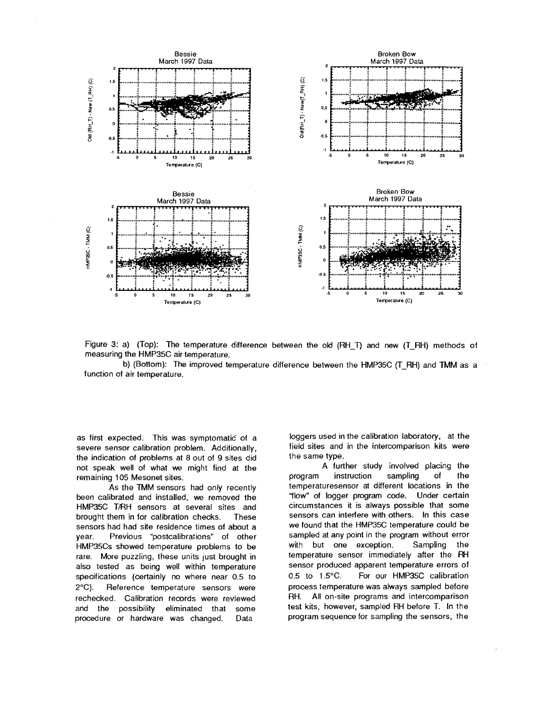

Figure 3: a) (Top): The temperature difference between the old (RH\_T) and new (T\_RH) methods of measuring the HMP35C air temperature.

b) (Bottom): The improved temperature difference between the HMP35C (T\_RH) and TMM as a function of air temperature.

as first expected. This was symptomatic of a severe sensor calibration problem. Additionally, the indication of problems at 8 out of 9 sites did not speak well of what we might find at the remaining 105 Mesonet sites.

As the TMM sensors had only recently been calibrated and installed, we removed the HMP35C T/RH sensors at several sites and brought them in for calibration checks. **These** sensors had had site residence times of about a Previous "postcalibrations" of other year. HMP35Cs showed temperature problems to be rare. More puzzling, these units just brought in also tested as being well within temperature specifications (certainly no where near 0.5 to  $2^{\circ}C$ ). Reference temperature sensors were rechecked. Calibration records were reviewed and the possibility eliminated that some procedure or hardware was changed. Data

loggers used in the calibration laboratory, at the field sites and in the intercomparison kits were the same type.

A further study involved placing the program instruction sampling of the temperaturesensor at different locations in the "flow" of logger program code. Under certain circumstances it is always possible that some sensors can interfere with others. In this case we found that the HMP35C temperature could be sampled at any point in the program without error with but one exception. Sampling the temperature sensor immediately after the RH sensor produced apparent temperature errors of 0.5 to 1.5°C. For our HMP35C calibration process temperature was always sampled before RH. All on-site programs and intercomparison test kits, however, sampled RH before T. In the program sequence for sampling the sensors, the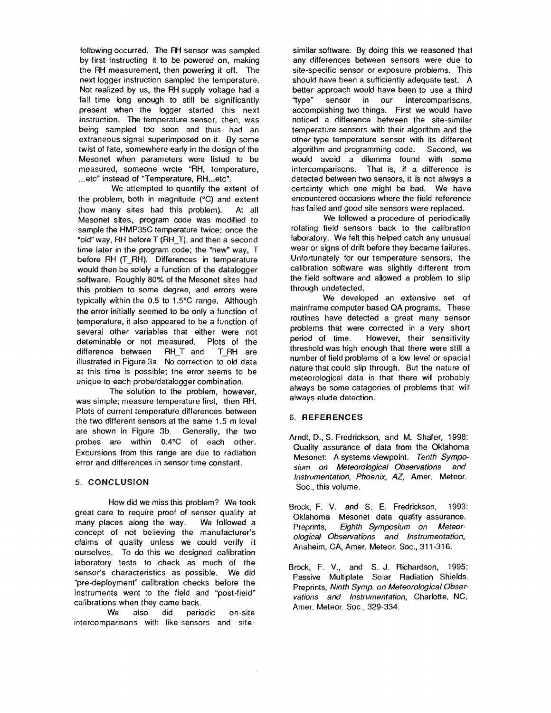following occurred. The FH sensor was sampled by first instructing it to be powered on, making the RH measurement, then powering it off. The next logger instruction sampled the temperature. Not realized by us, the RH supply voltage had a fall time long enough to still be significantly present when the logger started this next instruction. The temperature sensor, then, was being sampled too soon and thus had an extraneous signal superimposed on it. By some twist of fate, somewhere early in the design of the Mesonet when parameters were listed to be measured, someone wrote "RH, temperature, ...etc" instead of "Temperature, RH...etc".

We attempted to quantify the extent of the problem, both in magnitude (°C) and extent (how many sites had this problem). At all Mesonet sites, program code was modified to sample the HMP35C temperature twice; once the "old" way, RH before T (RH\_T), and then a second time later in the program code; the "new" way, T before RH (T\_RH). Differences in temperature would then be solely a function of the datalogger software. Roughly 80% of the Mesonet sites had this problem to some degree, and errors were typically within the  $0.5$  to  $1.5^{\circ}$ C range. Although the error initially seemed to be only a function of temperature, it also appeared to be a function of several other variables that either were not deteminable or not measured. Plots of the<br>difference between RHT and TRH are difference between RH\_T and T\_RH are illustrated in Figure 3a. No correction to old data at this time is possible; the error seems to be unique to each probe/datalogger combination.

The solution to the problem, however, was simple; measure temperature first, then RH. Plots of current temperature differences between the two different sensors at the same 1.5 m level are shown in Figure 3b. Generally, the two probes are within O.4°C of each other. Excursions from this range are due to radiation error and differences in sensor time constant.

#### 5. CONCLUSION

How did we miss this problem? We took great care to require proof of sensor quality at many places along the way. We followed a concept of not believing the manufacturer's claims of quality unless we could verify it ourselves. To do this we designed calibration laboratory tests to check as much of the sensor's characteristics as possible. We did "pre-deployment" calibration checks before the instruments went to the field and "post-field" calibrations when they came back.

We also did periodic on-site intercomparisons with like-sensors and site-

similar software. By doing this we reasoned that any differences between sensors were due to site-specific sensor or exposure problems. This should have been a sufficiently adequate test. A better approach would have been to use a third "type" sensor in our intercomparisons, accomplishing two things. First we would have noticed a difference between the site-similar temperature sensors with their algorithm and the other type temperature sensor with its different algorithm and programming code. Second, we would avoid a dilemma found with some intercomparisons. That is. if a difference is detected between two sensors, it is not always a certainty which one might be bad. We have encountered occasions where the field reference has failed and good site sensors were replaced.

We followed a procedure of periodically rotating field sensors back to the calibration laboratory. We felt this helped catch any unusual wear or signs of drift before they became failures. Unfortunately for our temperature sensors. the calibration software was slightly different from the field software and allowed a problem to slip through undetected.

We developed an extensive set of mainframe computer based QA programs. These routines have detected a great many sensor problems that were corrected in a very short period of time. However. their sensitivity threshold was high enough that there were still a number of field problems of a low level or spacial nature that could slip through. But the nature of meteorological data is that there will probably always be some catagories of problems that will always elude detection.

# 6. **REFERENCES**

- Arndt, D., S. Fredrickson, and M. Shafer. 1998: Quality assurance of data from the Oklahoma Mesonet: A systems viewpoint. Tenth Symposium on Meteorological Observations and Instrumentation, Phoenix, AZ, Amer. Meteor. Soc., this volume.
- Brock, F. V. and S. E. Fredrickson. 1993: Oklahoma Mesonet data quality assurance. Preprints, Eighth Symposium on Meteorological Observations and Instrumentation, Anaheim, CA, Amer. Meteor. Soc., 311-316.
- Brock, F. V., and S. J. Richardson, 1995: Passive Multiplate Solar Radiation Shields. Preprints, Ninth Symp. on Meteorological Observations and Instrumentation. Charlotte, NC, Amer. Meteor. Soc., 329-334.